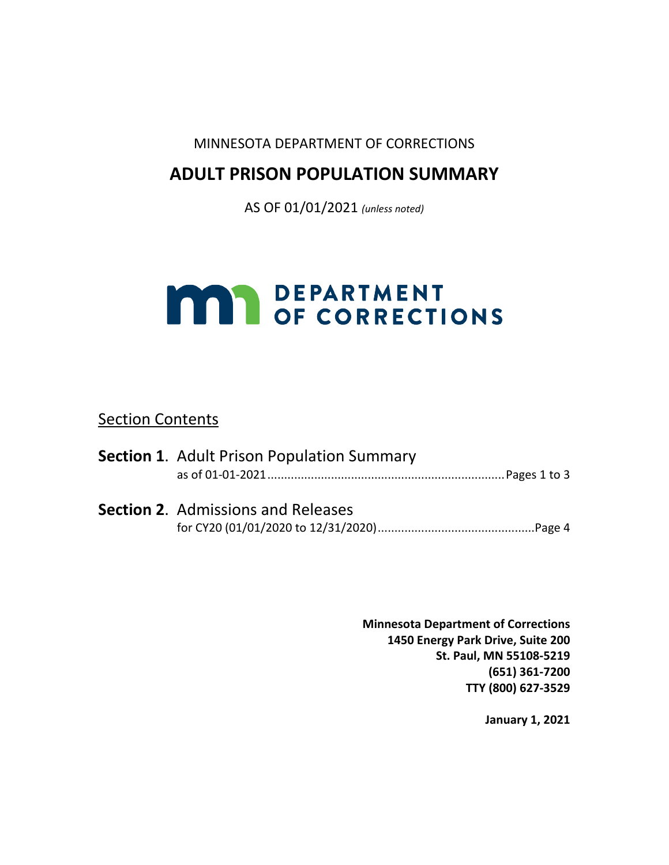## MINNESOTA DEPARTMENT OF CORRECTIONS

# **ADULT PRISON POPULATION SUMMARY**

AS OF 01/01/2021 *(unless noted)*

# **MAY DEPARTMENT**<br>OF CORRECTIONS

## Section Contents

| <b>Section 1.</b> Adult Prison Population Summary |
|---------------------------------------------------|
|                                                   |
| <b>Section 2.</b> Admissions and Releases         |
|                                                   |

**Minnesota Department of Corrections 1450 Energy Park Drive, Suite 200 St. Paul, MN 55108-5219 (651) 361-7200 TTY (800) 627-3529**

**January 1, 2021**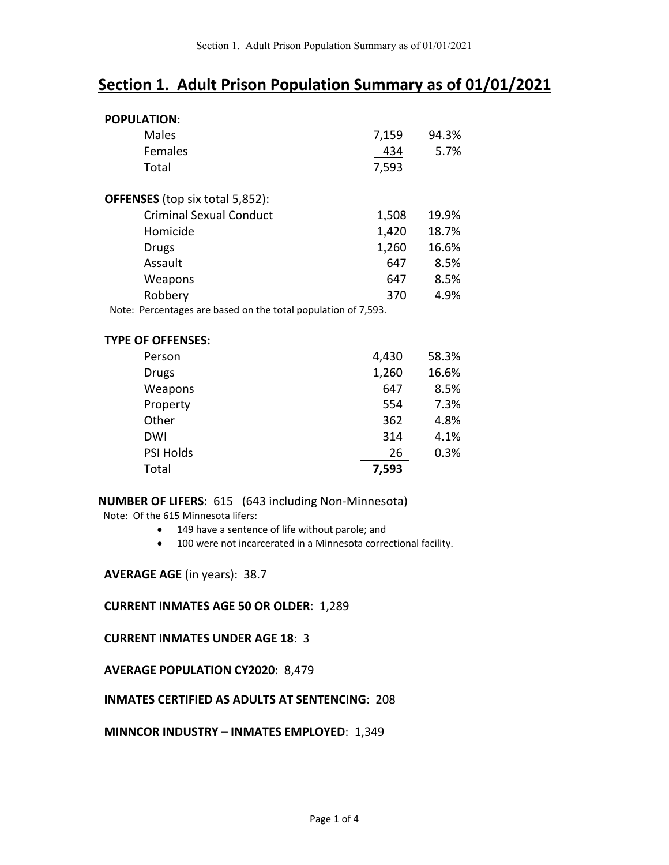## **Section 1. Adult Prison Population Summary as of 01/01/2021**

| <b>POPULATION:</b>                                                |       |       |
|-------------------------------------------------------------------|-------|-------|
| Males                                                             | 7,159 | 94.3% |
| Females                                                           | 434   | 5.7%  |
| Total                                                             | 7,593 |       |
| <b>OFFENSES</b> (top six total 5,852):                            |       |       |
| <b>Criminal Sexual Conduct</b>                                    | 1,508 | 19.9% |
| Homicide                                                          | 1,420 | 18.7% |
| Drugs                                                             | 1,260 | 16.6% |
| Assault                                                           | 647   | 8.5%  |
| Weapons                                                           | 647   | 8.5%  |
| Robbery                                                           | 370   | 4.9%  |
| Percentages are hased on the total nonulation of 7,593<br>Note: . |       |       |

Note: Percentages are based on the total population of 7,593.

| <b>TYPE OF OFFENSES:</b> |       |       |
|--------------------------|-------|-------|
| Person                   | 4,430 | 58.3% |
| <b>Drugs</b>             | 1,260 | 16.6% |
| Weapons                  | 647   | 8.5%  |
| Property                 | 554   | 7.3%  |
| Other                    | 362   | 4.8%  |
| DWI                      | 314   | 4.1%  |
| <b>PSI Holds</b>         | 26    | 0.3%  |
| Total                    | 7,593 |       |

#### **NUMBER OF LIFERS**: 615 (643 including Non-Minnesota)

Note: Of the 615 Minnesota lifers:

- 149 have a sentence of life without parole; and
- 100 were not incarcerated in a Minnesota correctional facility.

#### **AVERAGE AGE** (in years): 38.7

#### **CURRENT INMATES AGE 50 OR OLDER**: 1,289

#### **CURRENT INMATES UNDER AGE 18**: 3

#### **AVERAGE POPULATION CY2020**: 8,479

#### **INMATES CERTIFIED AS ADULTS AT SENTENCING**: 208

#### **MINNCOR INDUSTRY – INMATES EMPLOYED**: 1,349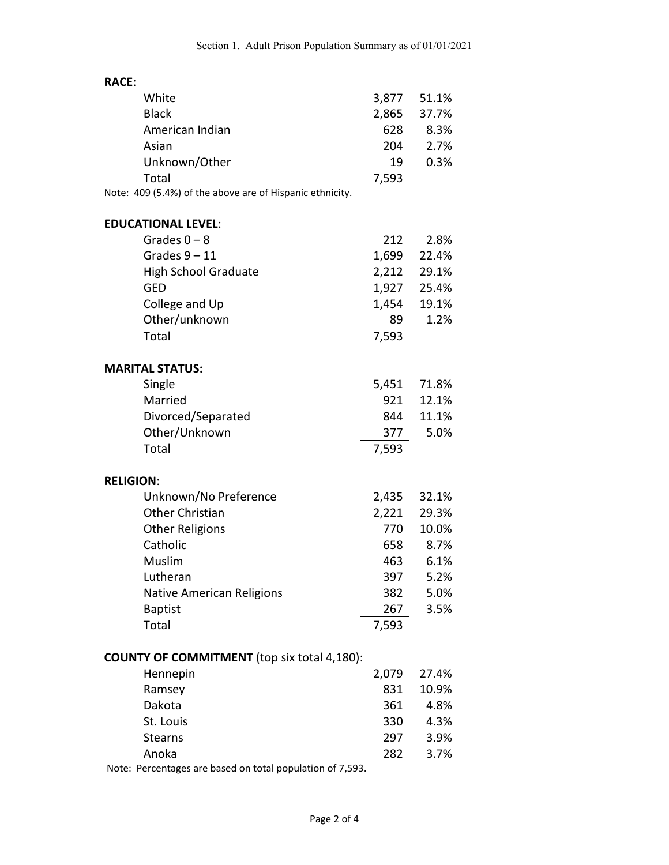| <b>RACE:</b>                                              |       |       |
|-----------------------------------------------------------|-------|-------|
| White                                                     | 3,877 | 51.1% |
| <b>Black</b>                                              | 2,865 | 37.7% |
| American Indian                                           | 628   | 8.3%  |
| Asian                                                     | 204   | 2.7%  |
| Unknown/Other                                             | 19    | 0.3%  |
| Total                                                     | 7,593 |       |
| Note: 409 (5.4%) of the above are of Hispanic ethnicity.  |       |       |
| <b>EDUCATIONAL LEVEL:</b>                                 |       |       |
| Grades $0 - 8$                                            | 212   | 2.8%  |
| Grades $9 - 11$                                           | 1,699 | 22.4% |
| <b>High School Graduate</b>                               | 2,212 | 29.1% |
| <b>GED</b>                                                | 1,927 | 25.4% |
| College and Up                                            | 1,454 | 19.1% |
| Other/unknown                                             | 89    | 1.2%  |
| Total                                                     | 7,593 |       |
|                                                           |       |       |
| <b>MARITAL STATUS:</b>                                    |       |       |
| Single                                                    | 5,451 | 71.8% |
| Married                                                   | 921   | 12.1% |
| Divorced/Separated                                        | 844   | 11.1% |
| Other/Unknown                                             | 377   | 5.0%  |
| Total                                                     | 7,593 |       |
| <b>RELIGION:</b>                                          |       |       |
| Unknown/No Preference                                     | 2,435 | 32.1% |
| <b>Other Christian</b>                                    | 2,221 | 29.3% |
| <b>Other Religions</b>                                    | 770   | 10.0% |
| Catholic                                                  | 658   | 8.7%  |
| Muslim                                                    | 463   | 6.1%  |
| Lutheran                                                  | 397   | 5.2%  |
| Native American Religions                                 | 382   | 5.0%  |
| <b>Baptist</b>                                            | 267   | 3.5%  |
| Total                                                     | 7,593 |       |
|                                                           |       |       |
| <b>COUNTY OF COMMITMENT</b> (top six total 4,180):        |       |       |
| Hennepin                                                  | 2,079 | 27.4% |
| Ramsey                                                    | 831   | 10.9% |
| Dakota                                                    | 361   | 4.8%  |
| St. Louis                                                 | 330   | 4.3%  |
| <b>Stearns</b>                                            | 297   | 3.9%  |
| Anoka                                                     | 282   | 3.7%  |
| Note: Percentages are based on total population of 7,593. |       |       |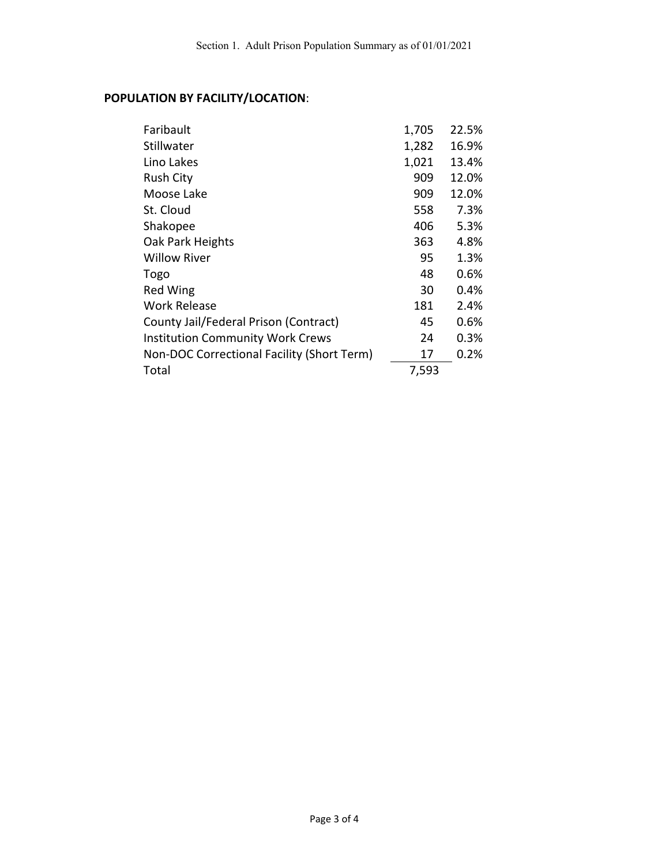## **POPULATION BY FACILITY/LOCATION**:

| Faribault                                  | 1,705 | 22.5% |
|--------------------------------------------|-------|-------|
| Stillwater                                 | 1,282 | 16.9% |
| Lino Lakes                                 | 1,021 | 13.4% |
| <b>Rush City</b>                           | 909   | 12.0% |
| Moose Lake                                 | 909   | 12.0% |
| St. Cloud                                  | 558   | 7.3%  |
| Shakopee                                   | 406   | 5.3%  |
| Oak Park Heights                           | 363   | 4.8%  |
| <b>Willow River</b>                        | 95    | 1.3%  |
| Togo                                       | 48    | 0.6%  |
| <b>Red Wing</b>                            | 30    | 0.4%  |
| <b>Work Release</b>                        | 181   | 2.4%  |
| County Jail/Federal Prison (Contract)      | 45    | 0.6%  |
| <b>Institution Community Work Crews</b>    | 24    | 0.3%  |
| Non-DOC Correctional Facility (Short Term) | 17    | 0.2%  |
| Total                                      | 7,593 |       |